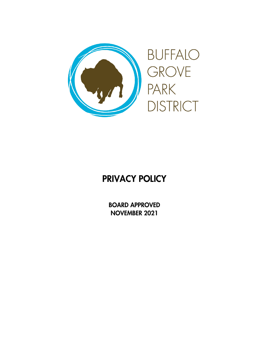

# PRIVACY POLICY

BOARD APPROVED NOVEMBER 2021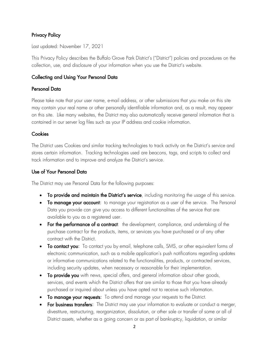## Privacy Policy

Last updated: November 17, 2021

This Privacy Policy describes the Buffalo Grove Park District's ("District") policies and procedures on the collection, use, and disclosure of your information when you use the District's website.

## Collecting and Using Your Personal Data

#### Personal Data

Please take note that your user name, e-mail address, or other submissions that you make on this site may contain your real name or other personally identifiable information and, as a result, may appear on this site. Like many websites, the District may also automatically receive general information that is contained in our server log files such as your IP address and cookie information.

#### **Cookies**

The District uses Cookies and similar tracking technologies to track activity on the District's service and stores certain information. Tracking technologies used are beacons, tags, and scripts to collect and track information and to improve and analyze the District's service.

#### Use of Your Personal Data

The District may use Personal Data for the following purposes:

- To provide and maintain the District's service, including monitoring the usage of this service.
- To manage your account: to manage your registration as a user of the service. The Personal Data you provide can give you access to different functionalities of the service that are available to you as a registered user.
- For the performance of a contract: the development, compliance, and undertaking of the purchase contract for the products, items, or services you have purchased or of any other contract with the District.
- To contact you: To contact you by email, telephone calls, SMS, or other equivalent forms of electronic communication, such as a mobile application's push notifications regarding updates or informative communications related to the functionalities, products, or contracted services, including security updates, when necessary or reasonable for their implementation.
- To provide you with news, special offers, and general information about other goods, services, and events which the District offers that are similar to those that you have already purchased or inquired about unless you have opted not to receive such information.
- To manage your requests: To attend and manage your requests to the District.
- For business transfers: The District may use your information to evaluate or conduct a merger, divestiture, restructuring, reorganization, dissolution, or other sale or transfer of some or all of District assets, whether as a going concern or as part of bankruptcy, liquidation, or similar